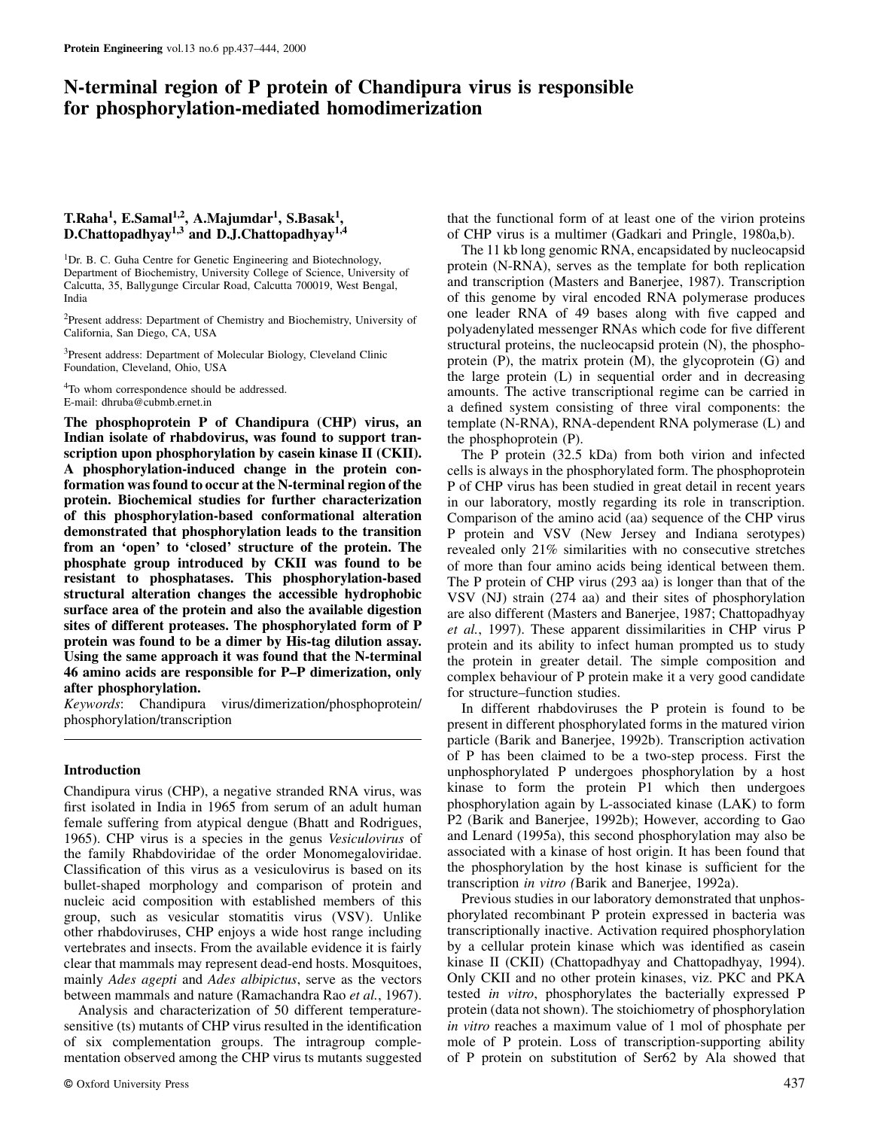# **N-terminal region of P protein of Chandipura virus is responsible for phosphorylation-mediated homodimerization**

# **T.Raha1, E.Samal1,2, A.Majumdar1, S.Basak1, D.Chattopadhyay1,3 and D.J.Chattopadhyay1,4**

<sup>1</sup>Dr. B. C. Guha Centre for Genetic Engineering and Biotechnology, Department of Biochemistry, University College of Science, University of Calcutta, 35, Ballygunge Circular Road, Calcutta 700019, West Bengal, India

2Present address: Department of Chemistry and Biochemistry, University of California, San Diego, CA, USA

<sup>3</sup>Present address: Department of Molecular Biology, Cleveland Clinic Foundation, Cleveland, Ohio, USA

4To whom correspondence should be addressed. E-mail: dhruba@cubmb.ernet.in

**The phosphoprotein P of Chandipura (CHP) virus, an Indian isolate of rhabdovirus, was found to support transcription upon phosphorylation by casein kinase II (CKII). A phosphorylation-induced change in the protein conformation was found to occur at the N-terminal region of the protein. Biochemical studies for further characterization of this phosphorylation-based conformational alteration demonstrated that phosphorylation leads to the transition from an 'open' to 'closed' structure of the protein. The phosphate group introduced by CKII was found to be resistant to phosphatases. This phosphorylation-based structural alteration changes the accessible hydrophobic surface area of the protein and also the available digestion sites of different proteases. The phosphorylated form of P protein was found to be a dimer by His-tag dilution assay. Using the same approach it was found that the N-terminal 46 amino acids are responsible for P–P dimerization, only after phosphorylation.**

*Keywords*: Chandipura virus/dimerization/phosphoprotein/ phosphorylation/transcription

#### **Introduction**

Chandipura virus (CHP), a negative stranded RNA virus, was first isolated in India in 1965 from serum of an adult human female suffering from atypical dengue (Bhatt and Rodrigues, 1965). CHP virus is a species in the genus *Vesiculovirus* of the family Rhabdoviridae of the order Monomegaloviridae. Classification of this virus as a vesiculovirus is based on its bullet-shaped morphology and comparison of protein and nucleic acid composition with established members of this group, such as vesicular stomatitis virus (VSV). Unlike other rhabdoviruses, CHP enjoys a wide host range including vertebrates and insects. From the available evidence it is fairly clear that mammals may represent dead-end hosts. Mosquitoes, mainly *Ades agepti* and *Ades albipictus*, serve as the vectors between mammals and nature (Ramachandra Rao *et al.*, 1967).

Analysis and characterization of 50 different temperaturesensitive (ts) mutants of CHP virus resulted in the identification of six complementation groups. The intragroup complementation observed among the CHP virus ts mutants suggested that the functional form of at least one of the virion proteins of CHP virus is a multimer (Gadkari and Pringle, 1980a,b).

The 11 kb long genomic RNA, encapsidated by nucleocapsid protein (N-RNA), serves as the template for both replication and transcription (Masters and Banerjee, 1987). Transcription of this genome by viral encoded RNA polymerase produces one leader RNA of 49 bases along with five capped and polyadenylated messenger RNAs which code for five different structural proteins, the nucleocapsid protein (N), the phosphoprotein (P), the matrix protein (M), the glycoprotein (G) and the large protein (L) in sequential order and in decreasing amounts. The active transcriptional regime can be carried in a defined system consisting of three viral components: the template (N-RNA), RNA-dependent RNA polymerase (L) and the phosphoprotein (P).

The P protein (32.5 kDa) from both virion and infected cells is always in the phosphorylated form. The phosphoprotein P of CHP virus has been studied in great detail in recent years in our laboratory, mostly regarding its role in transcription. Comparison of the amino acid (aa) sequence of the CHP virus P protein and VSV (New Jersey and Indiana serotypes) revealed only 21% similarities with no consecutive stretches of more than four amino acids being identical between them. The P protein of CHP virus (293 aa) is longer than that of the VSV (NJ) strain (274 aa) and their sites of phosphorylation are also different (Masters and Banerjee, 1987; Chattopadhyay *et al.*, 1997). These apparent dissimilarities in CHP virus P protein and its ability to infect human prompted us to study the protein in greater detail. The simple composition and complex behaviour of P protein make it a very good candidate for structure–function studies.

In different rhabdoviruses the P protein is found to be present in different phosphorylated forms in the matured virion particle (Barik and Banerjee, 1992b). Transcription activation of P has been claimed to be a two-step process. First the unphosphorylated P undergoes phosphorylation by a host kinase to form the protein P1 which then undergoes phosphorylation again by L-associated kinase (LAK) to form P2 (Barik and Banerjee, 1992b); However, according to Gao and Lenard (1995a), this second phosphorylation may also be associated with a kinase of host origin. It has been found that the phosphorylation by the host kinase is sufficient for the transcription *in vitro (*Barik and Banerjee, 1992a).

Previous studies in our laboratory demonstrated that unphosphorylated recombinant P protein expressed in bacteria was transcriptionally inactive. Activation required phosphorylation by a cellular protein kinase which was identified as casein kinase II (CKII) (Chattopadhyay and Chattopadhyay, 1994). Only CKII and no other protein kinases, viz. PKC and PKA tested *in vitro*, phosphorylates the bacterially expressed P protein (data not shown). The stoichiometry of phosphorylation *in vitro* reaches a maximum value of 1 mol of phosphate per mole of P protein. Loss of transcription-supporting ability of P protein on substitution of Ser62 by Ala showed that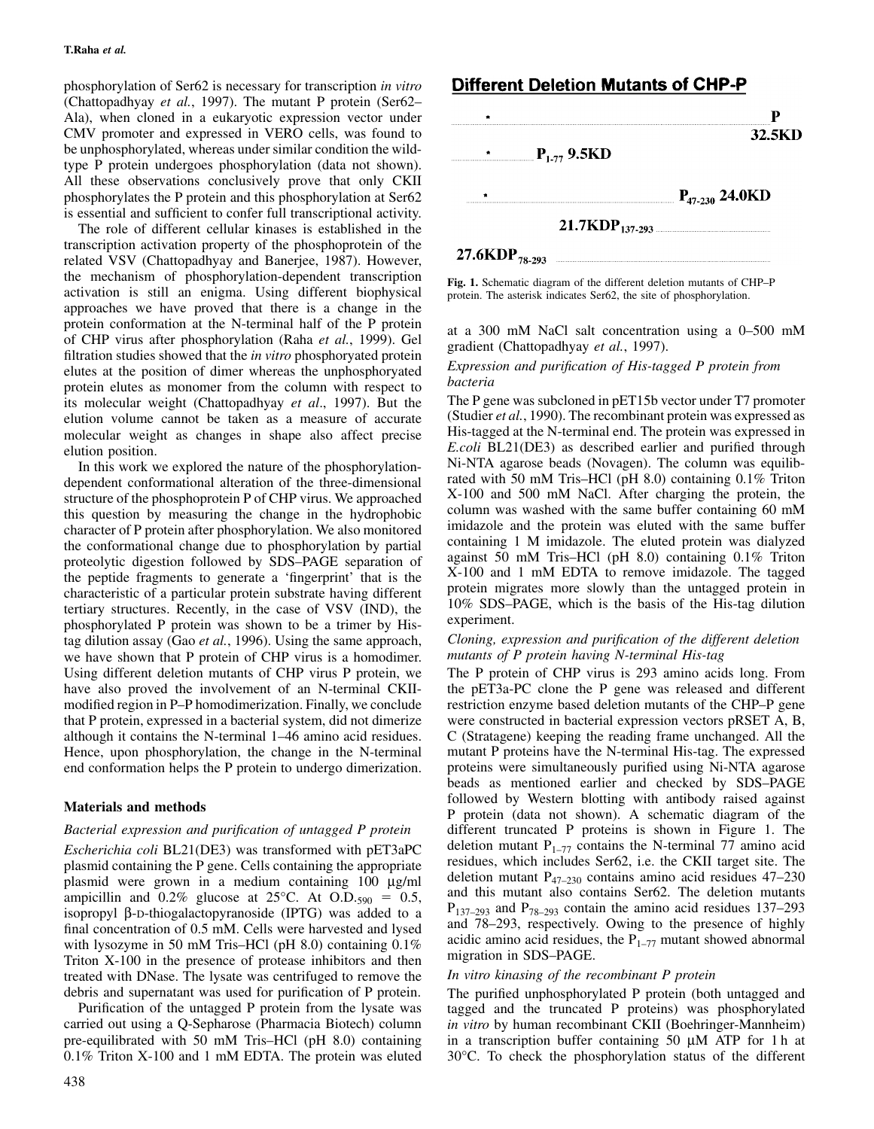phosphorylation of Ser62 is necessary for transcription *in vitro* (Chattopadhyay *et al.*, 1997). The mutant P protein (Ser62– Ala), when cloned in a eukaryotic expression vector under CMV promoter and expressed in VERO cells, was found to be unphosphorylated, whereas under similar condition the wildtype P protein undergoes phosphorylation (data not shown). All these observations conclusively prove that only CKII phosphorylates the P protein and this phosphorylation at Ser62 is essential and sufficient to confer full transcriptional activity.

The role of different cellular kinases is established in the transcription activation property of the phosphoprotein of the related VSV (Chattopadhyay and Banerjee, 1987). However, the mechanism of phosphorylation-dependent transcription activation is still an enigma. Using different biophysical approaches we have proved that there is a change in the protein conformation at the N-terminal half of the P protein of CHP virus after phosphorylation (Raha *et al.*, 1999). Gel filtration studies showed that the *in vitro* phosphoryated protein elutes at the position of dimer whereas the unphosphoryated protein elutes as monomer from the column with respect to its molecular weight (Chattopadhyay *et al*., 1997). But the elution volume cannot be taken as a measure of accurate molecular weight as changes in shape also affect precise elution position.

In this work we explored the nature of the phosphorylationdependent conformational alteration of the three-dimensional structure of the phosphoprotein P of CHP virus. We approached this question by measuring the change in the hydrophobic character of P protein after phosphorylation. We also monitored the conformational change due to phosphorylation by partial proteolytic digestion followed by SDS–PAGE separation of the peptide fragments to generate a 'fingerprint' that is the characteristic of a particular protein substrate having different tertiary structures. Recently, in the case of VSV (IND), the phosphorylated P protein was shown to be a trimer by Histag dilution assay (Gao *et al.*, 1996). Using the same approach, we have shown that P protein of CHP virus is a homodimer. Using different deletion mutants of CHP virus P protein, we have also proved the involvement of an N-terminal CKIImodified region in P–P homodimerization. Finally, we conclude that P protein, expressed in a bacterial system, did not dimerize although it contains the N-terminal 1–46 amino acid residues. Hence, upon phosphorylation, the change in the N-terminal end conformation helps the P protein to undergo dimerization.

# **Materials and methods**

## *Bacterial expression and purification of untagged P protein*

*Escherichia coli* BL21(DE3) was transformed with pET3aPC plasmid containing the P gene. Cells containing the appropriate plasmid were grown in a medium containing 100 µg/ml ampicillin and  $0.2\%$  glucose at  $25^{\circ}$ C. At O.D.<sub>590</sub> = 0.5, isopropyl β-D-thiogalactopyranoside (IPTG) was added to a final concentration of 0.5 mM. Cells were harvested and lysed with lysozyme in 50 mM Tris–HCl (pH 8.0) containing 0.1% Triton X-100 in the presence of protease inhibitors and then treated with DNase. The lysate was centrifuged to remove the debris and supernatant was used for purification of P protein.

Purification of the untagged P protein from the lysate was carried out using a Q-Sepharose (Pharmacia Biotech) column pre-equilibrated with 50 mM Tris–HCl (pH 8.0) containing 0.1% Triton X-100 and 1 mM EDTA. The protein was eluted

# **Different Deletion Mutants of CHP-P**

|                               |                     | 32.5KD              |
|-------------------------------|---------------------|---------------------|
| $P_{1.77}$ 9.5KD<br>$\bullet$ |                     |                     |
|                               |                     |                     |
|                               |                     | $P_{47-230}$ 24.0KD |
|                               | $21.7KDP_{137-293}$ |                     |
| 27.6KDP <sub>78-293</sub>     |                     |                     |

**Fig. 1.** Schematic diagram of the different deletion mutants of CHP–P protein. The asterisk indicates Ser62, the site of phosphorylation.

at a 300 mM NaCl salt concentration using a 0–500 mM gradient (Chattopadhyay *et al.*, 1997).

#### *Expression and purification of His-tagged P protein from bacteria*

The P gene was subcloned in pET15b vector under T7 promoter (Studier *et al.*, 1990). The recombinant protein was expressed as His-tagged at the N-terminal end. The protein was expressed in *E.coli* BL21(DE3) as described earlier and purified through Ni-NTA agarose beads (Novagen). The column was equilibrated with 50 mM Tris–HCl (pH 8.0) containing 0.1% Triton X-100 and 500 mM NaCl. After charging the protein, the column was washed with the same buffer containing 60 mM imidazole and the protein was eluted with the same buffer containing 1 M imidazole. The eluted protein was dialyzed against 50 mM Tris–HCl (pH 8.0) containing 0.1% Triton X-100 and 1 mM EDTA to remove imidazole. The tagged protein migrates more slowly than the untagged protein in 10% SDS–PAGE, which is the basis of the His-tag dilution experiment.

### *Cloning, expression and purification of the different deletion mutants of P protein having N-terminal His-tag*

The P protein of CHP virus is 293 amino acids long. From the pET3a-PC clone the P gene was released and different restriction enzyme based deletion mutants of the CHP–P gene were constructed in bacterial expression vectors pRSET A, B, C (Stratagene) keeping the reading frame unchanged. All the mutant P proteins have the N-terminal His-tag. The expressed proteins were simultaneously purified using Ni-NTA agarose beads as mentioned earlier and checked by SDS–PAGE followed by Western blotting with antibody raised against P protein (data not shown). A schematic diagram of the different truncated P proteins is shown in Figure 1. The deletion mutant  $P_{1-77}$  contains the N-terminal 77 amino acid residues, which includes Ser62, i.e. the CKII target site. The deletion mutant  $P_{47-230}$  contains amino acid residues 47–230 and this mutant also contains Ser62. The deletion mutants  $P_{137-293}$  and  $P_{78-293}$  contain the amino acid residues 137–293 and 78–293, respectively. Owing to the presence of highly acidic amino acid residues, the  $P_{1-77}$  mutant showed abnormal migration in SDS–PAGE.

## *In vitro kinasing of the recombinant P protein*

The purified unphosphorylated P protein (both untagged and tagged and the truncated P proteins) was phosphorylated *in vitro* by human recombinant CKII (Boehringer-Mannheim) in a transcription buffer containing 50 µM ATP for 1 h at 30°C. To check the phosphorylation status of the different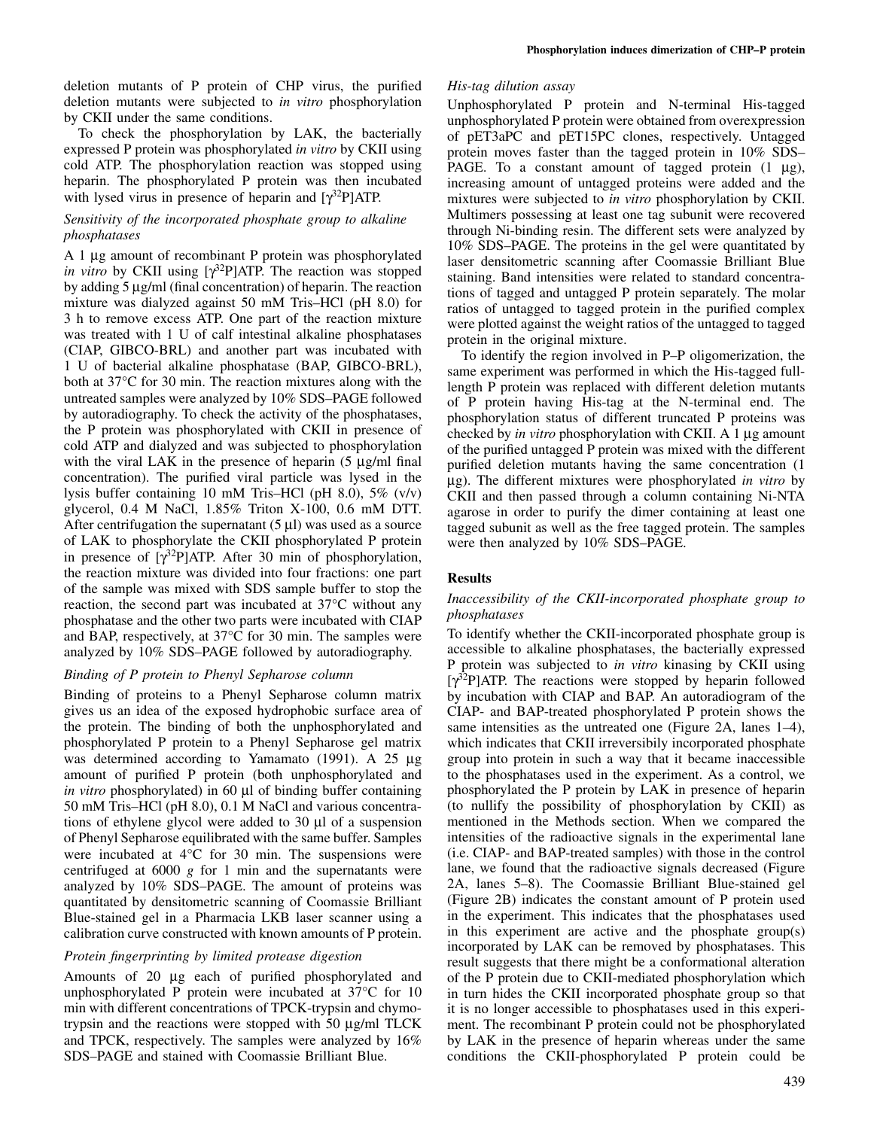deletion mutants of P protein of CHP virus, the purified deletion mutants were subjected to *in vitro* phosphorylation by CKII under the same conditions.

To check the phosphorylation by LAK, the bacterially expressed P protein was phosphorylated *in vitro* by CKII using cold ATP. The phosphorylation reaction was stopped using heparin. The phosphorylated P protein was then incubated with lysed virus in presence of heparin and  $[\gamma^{32}P]ATP$ .

## *Sensitivity of the incorporated phosphate group to alkaline phosphatases*

A 1 µg amount of recombinant P protein was phosphorylated *in vitro* by CKII using [γ<sup>32</sup>P]ATP. The reaction was stopped by adding 5 µg/ml (final concentration) of heparin. The reaction mixture was dialyzed against 50 mM Tris–HCl (pH 8.0) for 3 h to remove excess ATP. One part of the reaction mixture was treated with 1 U of calf intestinal alkaline phosphatases (CIAP, GIBCO-BRL) and another part was incubated with 1 U of bacterial alkaline phosphatase (BAP, GIBCO-BRL), both at 37°C for 30 min. The reaction mixtures along with the untreated samples were analyzed by 10% SDS–PAGE followed by autoradiography. To check the activity of the phosphatases, the P protein was phosphorylated with CKII in presence of cold ATP and dialyzed and was subjected to phosphorylation with the viral LAK in the presence of heparin (5 µg/ml final concentration). The purified viral particle was lysed in the lysis buffer containing 10 mM Tris–HCl (pH 8.0), 5% (v/v) glycerol, 0.4 M NaCl, 1.85% Triton X-100, 0.6 mM DTT. After centrifugation the supernatant  $(5 \mu l)$  was used as a source of LAK to phosphorylate the CKII phosphorylated P protein in presence of  $[\gamma^{32}P]ATP$ . After 30 min of phosphorylation, the reaction mixture was divided into four fractions: one part of the sample was mixed with SDS sample buffer to stop the reaction, the second part was incubated at 37°C without any phosphatase and the other two parts were incubated with CIAP and BAP, respectively, at 37°C for 30 min. The samples were analyzed by 10% SDS–PAGE followed by autoradiography.

#### *Binding of P protein to Phenyl Sepharose column*

Binding of proteins to a Phenyl Sepharose column matrix gives us an idea of the exposed hydrophobic surface area of the protein. The binding of both the unphosphorylated and phosphorylated P protein to a Phenyl Sepharose gel matrix was determined according to Yamamato (1991). A 25 µg amount of purified P protein (both unphosphorylated and *in vitro* phosphorylated) in 60 µl of binding buffer containing 50 mM Tris–HCl (pH 8.0), 0.1 M NaCl and various concentrations of ethylene glycol were added to 30 µl of a suspension of Phenyl Sepharose equilibrated with the same buffer. Samples were incubated at 4°C for 30 min. The suspensions were centrifuged at 6000 *g* for 1 min and the supernatants were analyzed by 10% SDS–PAGE. The amount of proteins was quantitated by densitometric scanning of Coomassie Brilliant Blue-stained gel in a Pharmacia LKB laser scanner using a calibration curve constructed with known amounts of P protein.

## *Protein fingerprinting by limited protease digestion*

Amounts of 20 µg each of purified phosphorylated and unphosphorylated P protein were incubated at 37°C for 10 min with different concentrations of TPCK-trypsin and chymotrypsin and the reactions were stopped with 50 µg/ml TLCK and TPCK, respectively. The samples were analyzed by 16% SDS–PAGE and stained with Coomassie Brilliant Blue.

## *His-tag dilution assay*

Unphosphorylated P protein and N-terminal His-tagged unphosphorylated P protein were obtained from overexpression of pET3aPC and pET15PC clones, respectively. Untagged protein moves faster than the tagged protein in 10% SDS– PAGE. To a constant amount of tagged protein  $(1 \mu g)$ , increasing amount of untagged proteins were added and the mixtures were subjected to *in vitro* phosphorylation by CKII. Multimers possessing at least one tag subunit were recovered through Ni-binding resin. The different sets were analyzed by 10% SDS–PAGE. The proteins in the gel were quantitated by laser densitometric scanning after Coomassie Brilliant Blue staining. Band intensities were related to standard concentrations of tagged and untagged P protein separately. The molar ratios of untagged to tagged protein in the purified complex were plotted against the weight ratios of the untagged to tagged protein in the original mixture.

To identify the region involved in P–P oligomerization, the same experiment was performed in which the His-tagged fulllength P protein was replaced with different deletion mutants of P protein having His-tag at the N-terminal end. The phosphorylation status of different truncated P proteins was checked by *in vitro* phosphorylation with CKII. A 1 µg amount of the purified untagged P protein was mixed with the different purified deletion mutants having the same concentration (1 µg). The different mixtures were phosphorylated *in vitro* by CKII and then passed through a column containing Ni-NTA agarose in order to purify the dimer containing at least one tagged subunit as well as the free tagged protein. The samples were then analyzed by 10% SDS–PAGE.

## **Results**

## *Inaccessibility of the CKII-incorporated phosphate group to phosphatases*

To identify whether the CKII-incorporated phosphate group is accessible to alkaline phosphatases, the bacterially expressed P protein was subjected to *in vitro* kinasing by CKII using  $[\gamma^{32}P]$ ATP. The reactions were stopped by heparin followed by incubation with CIAP and BAP. An autoradiogram of the CIAP- and BAP-treated phosphorylated P protein shows the same intensities as the untreated one (Figure 2A, lanes 1–4), which indicates that CKII irreversibily incorporated phosphate group into protein in such a way that it became inaccessible to the phosphatases used in the experiment. As a control, we phosphorylated the P protein by LAK in presence of heparin (to nullify the possibility of phosphorylation by CKII) as mentioned in the Methods section. When we compared the intensities of the radioactive signals in the experimental lane (i.e. CIAP- and BAP-treated samples) with those in the control lane, we found that the radioactive signals decreased (Figure 2A, lanes 5–8). The Coomassie Brilliant Blue-stained gel (Figure 2B) indicates the constant amount of P protein used in the experiment. This indicates that the phosphatases used in this experiment are active and the phosphate group(s) incorporated by LAK can be removed by phosphatases. This result suggests that there might be a conformational alteration of the P protein due to CKII-mediated phosphorylation which in turn hides the CKII incorporated phosphate group so that it is no longer accessible to phosphatases used in this experiment. The recombinant P protein could not be phosphorylated by LAK in the presence of heparin whereas under the same conditions the CKII-phosphorylated P protein could be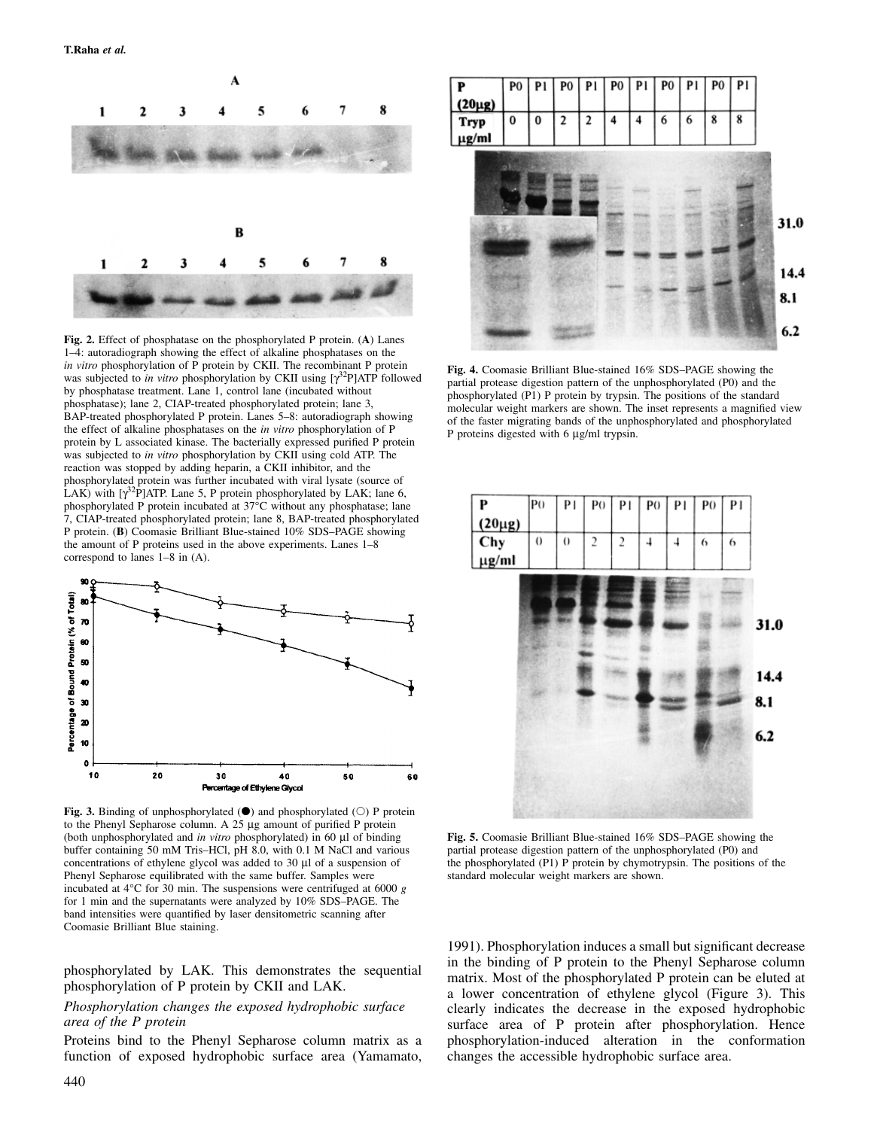

**Fig. 2.** Effect of phosphatase on the phosphorylated P protein. (**A**) Lanes 1–4: autoradiograph showing the effect of alkaline phosphatases on the *in vitro* phosphorylation of P protein by CKII. The recombinant P protein was subjected to *in vitro* phosphorylation by CKII using [γ<sup>32</sup>P]ATP followed by phosphatase treatment. Lane 1, control lane (incubated without phosphatase); lane 2, CIAP-treated phosphorylated protein; lane 3, BAP-treated phosphorylated P protein. Lanes 5–8: autoradiograph showing the effect of alkaline phosphatases on the *in vitro* phosphorylation of P protein by L associated kinase. The bacterially expressed purified P protein was subjected to *in vitro* phosphorylation by CKII using cold ATP. The reaction was stopped by adding heparin, a CKII inhibitor, and the phosphorylated protein was further incubated with viral lysate (source of LAK) with  $[\gamma^{32}P]$ ATP. Lane 5, P protein phosphorylated by LAK; lane 6, phosphorylated P protein incubated at 37°C without any phosphatase; lane 7, CIAP-treated phosphorylated protein; lane 8, BAP-treated phosphorylated P protein. (**B**) Coomasie Brilliant Blue-stained 10% SDS–PAGE showing the amount of P proteins used in the above experiments. Lanes 1–8 correspond to lanes 1–8 in (A).



**Fig. 3.** Binding of unphosphorylated  $(\bullet)$  and phosphorylated  $(\circ)$  P protein to the Phenyl Sepharose column. A 25 µg amount of purified P protein (both unphosphorylated and *in vitro* phosphorylated) in 60 µl of binding buffer containing 50 mM Tris–HCl, pH 8.0, with 0.1 M NaCl and various concentrations of ethylene glycol was added to 30 µl of a suspension of Phenyl Sepharose equilibrated with the same buffer. Samples were incubated at 4°C for 30 min. The suspensions were centrifuged at 6000 *g* for 1 min and the supernatants were analyzed by 10% SDS–PAGE. The band intensities were quantified by laser densitometric scanning after Coomasie Brilliant Blue staining.

phosphorylated by LAK. This demonstrates the sequential phosphorylation of P protein by CKII and LAK.

#### *Phosphorylation changes the exposed hydrophobic surface area of the P protein*

Proteins bind to the Phenyl Sepharose column matrix as a function of exposed hydrophobic surface area (Yamamato,



**Fig. 4.** Coomasie Brilliant Blue-stained 16% SDS–PAGE showing the partial protease digestion pattern of the unphosphorylated (P0) and the phosphorylated (P1) P protein by trypsin. The positions of the standard molecular weight markers are shown. The inset represents a magnified view of the faster migrating bands of the unphosphorylated and phosphorylated P proteins digested with 6  $\mu$ g/ml trypsin.



**Fig. 5.** Coomasie Brilliant Blue-stained 16% SDS–PAGE showing the partial protease digestion pattern of the unphosphorylated (P0) and the phosphorylated (P1) P protein by chymotrypsin. The positions of the standard molecular weight markers are shown.

1991). Phosphorylation induces a small but significant decrease in the binding of P protein to the Phenyl Sepharose column matrix. Most of the phosphorylated P protein can be eluted at a lower concentration of ethylene glycol (Figure 3). This clearly indicates the decrease in the exposed hydrophobic surface area of P protein after phosphorylation. Hence phosphorylation-induced alteration in the conformation changes the accessible hydrophobic surface area.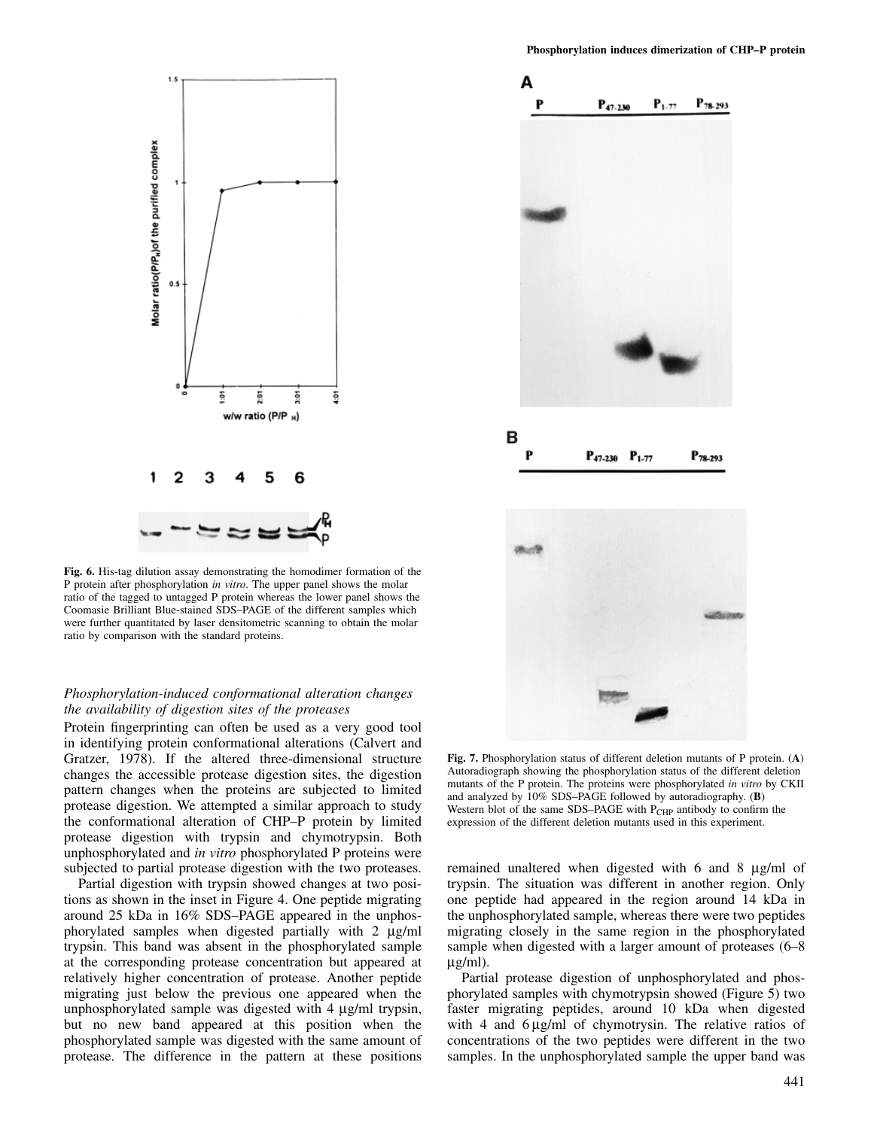

**Fig. 6.** His-tag dilution assay demonstrating the homodimer formation of the P protein after phosphorylation *in vitro*. The upper panel shows the molar ratio of the tagged to untagged P protein whereas the lower panel shows the Coomasie Brilliant Blue-stained SDS–PAGE of the different samples which were further quantitated by laser densitometric scanning to obtain the molar ratio by comparison with the standard proteins.

## *Phosphorylation-induced conformational alteration changes the availability of digestion sites of the proteases*

Protein fingerprinting can often be used as a very good tool in identifying protein conformational alterations (Calvert and Gratzer, 1978). If the altered three-dimensional structure changes the accessible protease digestion sites, the digestion pattern changes when the proteins are subjected to limited protease digestion. We attempted a similar approach to study the conformational alteration of CHP–P protein by limited protease digestion with trypsin and chymotrypsin. Both unphosphorylated and *in vitro* phosphorylated P proteins were subjected to partial protease digestion with the two proteases.

Partial digestion with trypsin showed changes at two positions as shown in the inset in Figure 4. One peptide migrating around 25 kDa in 16% SDS–PAGE appeared in the unphosphorylated samples when digested partially with 2 µg/ml trypsin. This band was absent in the phosphorylated sample at the corresponding protease concentration but appeared at relatively higher concentration of protease. Another peptide migrating just below the previous one appeared when the unphosphorylated sample was digested with 4 µg/ml trypsin, but no new band appeared at this position when the phosphorylated sample was digested with the same amount of protease. The difference in the pattern at these positions



**Fig. 7.** Phosphorylation status of different deletion mutants of P protein. (**A**) Autoradiograph showing the phosphorylation status of the different deletion mutants of the P protein. The proteins were phosphorylated *in vitro* by CKII and analyzed by 10% SDS–PAGE followed by autoradiography. (**B**) Western blot of the same SDS–PAGE with P<sub>CHP</sub> antibody to confirm the expression of the different deletion mutants used in this experiment.

remained unaltered when digested with 6 and 8 µg/ml of trypsin. The situation was different in another region. Only one peptide had appeared in the region around 14 kDa in the unphosphorylated sample, whereas there were two peptides migrating closely in the same region in the phosphorylated sample when digested with a larger amount of proteases (6–8 µg/ml).

Partial protease digestion of unphosphorylated and phosphorylated samples with chymotrypsin showed (Figure 5) two faster migrating peptides, around 10 kDa when digested with 4 and  $6 \mu g/ml$  of chymotrysin. The relative ratios of concentrations of the two peptides were different in the two samples. In the unphosphorylated sample the upper band was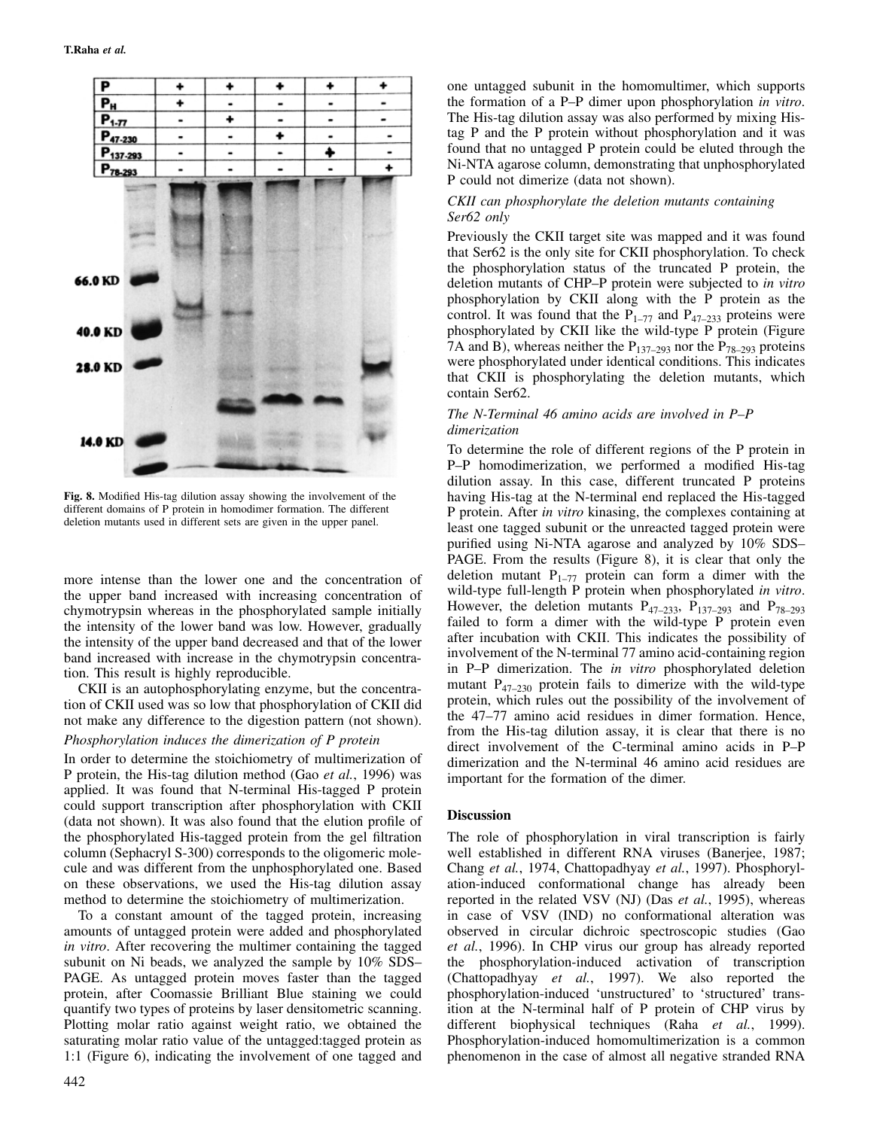

**Fig. 8.** Modified His-tag dilution assay showing the involvement of the different domains of P protein in homodimer formation. The different deletion mutants used in different sets are given in the upper panel.

more intense than the lower one and the concentration of the upper band increased with increasing concentration of chymotrypsin whereas in the phosphorylated sample initially the intensity of the lower band was low. However, gradually the intensity of the upper band decreased and that of the lower band increased with increase in the chymotrypsin concentration. This result is highly reproducible.

CKII is an autophosphorylating enzyme, but the concentration of CKII used was so low that phosphorylation of CKII did not make any difference to the digestion pattern (not shown).

#### *Phosphorylation induces the dimerization of P protein*

In order to determine the stoichiometry of multimerization of P protein, the His-tag dilution method (Gao *et al.*, 1996) was applied. It was found that N-terminal His-tagged P protein could support transcription after phosphorylation with CKII (data not shown). It was also found that the elution profile of the phosphorylated His-tagged protein from the gel filtration column (Sephacryl S-300) corresponds to the oligomeric molecule and was different from the unphosphorylated one. Based on these observations, we used the His-tag dilution assay method to determine the stoichiometry of multimerization.

To a constant amount of the tagged protein, increasing amounts of untagged protein were added and phosphorylated *in vitro*. After recovering the multimer containing the tagged subunit on Ni beads, we analyzed the sample by 10% SDS– PAGE. As untagged protein moves faster than the tagged protein, after Coomassie Brilliant Blue staining we could quantify two types of proteins by laser densitometric scanning. Plotting molar ratio against weight ratio, we obtained the saturating molar ratio value of the untagged:tagged protein as 1:1 (Figure 6), indicating the involvement of one tagged and one untagged subunit in the homomultimer, which supports the formation of a P–P dimer upon phosphorylation *in vitro*. The His-tag dilution assay was also performed by mixing Histag P and the P protein without phosphorylation and it was found that no untagged P protein could be eluted through the Ni-NTA agarose column, demonstrating that unphosphorylated P could not dimerize (data not shown).

#### *CKII can phosphorylate the deletion mutants containing Ser62 only*

Previously the CKII target site was mapped and it was found that Ser62 is the only site for CKII phosphorylation. To check the phosphorylation status of the truncated P protein, the deletion mutants of CHP–P protein were subjected to *in vitro* phosphorylation by CKII along with the P protein as the control. It was found that the  $P_{1-77}$  and  $P_{47-233}$  proteins were phosphorylated by CKII like the wild-type P protein (Figure 7A and B), whereas neither the  $P_{137-293}$  nor the  $P_{78-293}$  proteins were phosphorylated under identical conditions. This indicates that CKII is phosphorylating the deletion mutants, which contain Ser62.

#### *The N-Terminal 46 amino acids are involved in P–P dimerization*

To determine the role of different regions of the P protein in P–P homodimerization, we performed a modified His-tag dilution assay. In this case, different truncated P proteins having His-tag at the N-terminal end replaced the His-tagged P protein. After *in vitro* kinasing, the complexes containing at least one tagged subunit or the unreacted tagged protein were purified using Ni-NTA agarose and analyzed by 10% SDS– PAGE. From the results (Figure 8), it is clear that only the deletion mutant  $P_{1-77}$  protein can form a dimer with the wild-type full-length P protein when phosphorylated *in vitro*. However, the deletion mutants  $P_{47-233}$ ,  $P_{137-293}$  and  $P_{78-293}$ failed to form a dimer with the wild-type P protein even after incubation with CKII. This indicates the possibility of involvement of the N-terminal 77 amino acid-containing region in P–P dimerization. The *in vitro* phosphorylated deletion mutant  $P_{47-230}$  protein fails to dimerize with the wild-type protein, which rules out the possibility of the involvement of the 47–77 amino acid residues in dimer formation. Hence, from the His-tag dilution assay, it is clear that there is no direct involvement of the C-terminal amino acids in P–P dimerization and the N-terminal 46 amino acid residues are important for the formation of the dimer.

#### **Discussion**

The role of phosphorylation in viral transcription is fairly well established in different RNA viruses (Banerjee, 1987; Chang *et al.*, 1974, Chattopadhyay *et al.*, 1997). Phosphorylation-induced conformational change has already been reported in the related VSV (NJ) (Das *et al.*, 1995), whereas in case of VSV (IND) no conformational alteration was observed in circular dichroic spectroscopic studies (Gao *et al.*, 1996). In CHP virus our group has already reported the phosphorylation-induced activation of transcription (Chattopadhyay *et al.*, 1997). We also reported the phosphorylation-induced 'unstructured' to 'structured' transition at the N-terminal half of P protein of CHP virus by different biophysical techniques (Raha *et al.*, 1999). Phosphorylation-induced homomultimerization is a common phenomenon in the case of almost all negative stranded RNA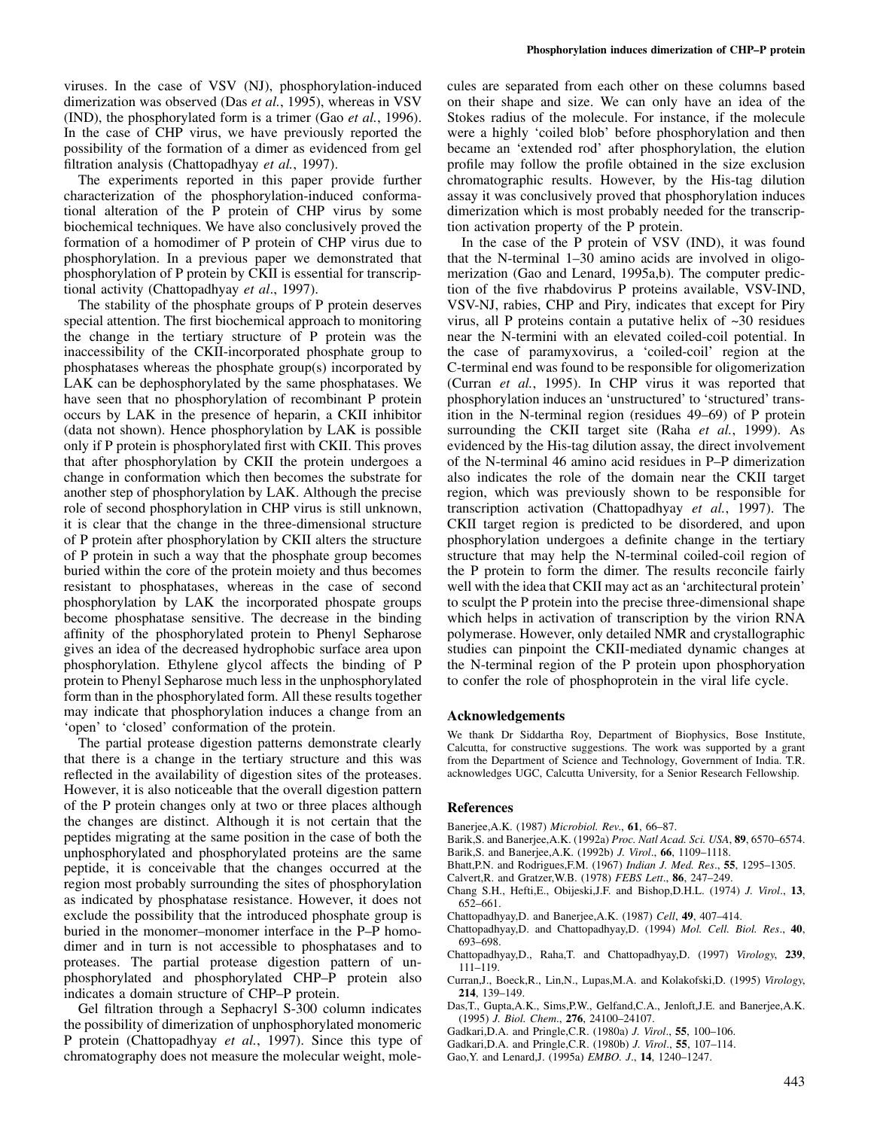viruses. In the case of VSV (NJ), phosphorylation-induced dimerization was observed (Das *et al.*, 1995), whereas in VSV (IND), the phosphorylated form is a trimer (Gao *et al.*, 1996). In the case of CHP virus, we have previously reported the possibility of the formation of a dimer as evidenced from gel filtration analysis (Chattopadhyay *et al.*, 1997).

The experiments reported in this paper provide further characterization of the phosphorylation-induced conformational alteration of the P protein of CHP virus by some biochemical techniques. We have also conclusively proved the formation of a homodimer of P protein of CHP virus due to phosphorylation. In a previous paper we demonstrated that phosphorylation of P protein by CKII is essential for transcriptional activity (Chattopadhyay *et al*., 1997).

The stability of the phosphate groups of P protein deserves special attention. The first biochemical approach to monitoring the change in the tertiary structure of P protein was the inaccessibility of the CKII-incorporated phosphate group to phosphatases whereas the phosphate group(s) incorporated by LAK can be dephosphorylated by the same phosphatases. We have seen that no phosphorylation of recombinant P protein occurs by LAK in the presence of heparin, a CKII inhibitor (data not shown). Hence phosphorylation by LAK is possible only if P protein is phosphorylated first with CKII. This proves that after phosphorylation by CKII the protein undergoes a change in conformation which then becomes the substrate for another step of phosphorylation by LAK. Although the precise role of second phosphorylation in CHP virus is still unknown, it is clear that the change in the three-dimensional structure of P protein after phosphorylation by CKII alters the structure of P protein in such a way that the phosphate group becomes buried within the core of the protein moiety and thus becomes resistant to phosphatases, whereas in the case of second phosphorylation by LAK the incorporated phospate groups become phosphatase sensitive. The decrease in the binding affinity of the phosphorylated protein to Phenyl Sepharose gives an idea of the decreased hydrophobic surface area upon phosphorylation. Ethylene glycol affects the binding of P protein to Phenyl Sepharose much less in the unphosphorylated form than in the phosphorylated form. All these results together may indicate that phosphorylation induces a change from an 'open' to 'closed' conformation of the protein.

The partial protease digestion patterns demonstrate clearly that there is a change in the tertiary structure and this was reflected in the availability of digestion sites of the proteases. However, it is also noticeable that the overall digestion pattern of the P protein changes only at two or three places although the changes are distinct. Although it is not certain that the peptides migrating at the same position in the case of both the unphosphorylated and phosphorylated proteins are the same peptide, it is conceivable that the changes occurred at the region most probably surrounding the sites of phosphorylation as indicated by phosphatase resistance. However, it does not exclude the possibility that the introduced phosphate group is buried in the monomer–monomer interface in the P–P homodimer and in turn is not accessible to phosphatases and to proteases. The partial protease digestion pattern of unphosphorylated and phosphorylated CHP–P protein also indicates a domain structure of CHP–P protein.

Gel filtration through a Sephacryl S-300 column indicates the possibility of dimerization of unphosphorylated monomeric P protein (Chattopadhyay *et al.*, 1997). Since this type of chromatography does not measure the molecular weight, molecules are separated from each other on these columns based on their shape and size. We can only have an idea of the Stokes radius of the molecule. For instance, if the molecule were a highly 'coiled blob' before phosphorylation and then became an 'extended rod' after phosphorylation, the elution profile may follow the profile obtained in the size exclusion chromatographic results. However, by the His-tag dilution assay it was conclusively proved that phosphorylation induces dimerization which is most probably needed for the transcription activation property of the P protein.

In the case of the P protein of VSV (IND), it was found that the N-terminal 1–30 amino acids are involved in oligomerization (Gao and Lenard, 1995a,b). The computer prediction of the five rhabdovirus P proteins available, VSV-IND, VSV-NJ, rabies, CHP and Piry, indicates that except for Piry virus, all P proteins contain a putative helix of ~30 residues near the N-termini with an elevated coiled-coil potential. In the case of paramyxovirus, a 'coiled-coil' region at the C-terminal end was found to be responsible for oligomerization (Curran *et al.*, 1995). In CHP virus it was reported that phosphorylation induces an 'unstructured' to 'structured' transition in the N-terminal region (residues 49–69) of P protein surrounding the CKII target site (Raha *et al.*, 1999). As evidenced by the His-tag dilution assay, the direct involvement of the N-terminal 46 amino acid residues in P–P dimerization also indicates the role of the domain near the CKII target region, which was previously shown to be responsible for transcription activation (Chattopadhyay *et al.*, 1997). The CKII target region is predicted to be disordered, and upon phosphorylation undergoes a definite change in the tertiary structure that may help the N-terminal coiled-coil region of the P protein to form the dimer. The results reconcile fairly well with the idea that CKII may act as an 'architectural protein' to sculpt the P protein into the precise three-dimensional shape which helps in activation of transcription by the virion RNA polymerase. However, only detailed NMR and crystallographic studies can pinpoint the CKII-mediated dynamic changes at the N-terminal region of the P protein upon phosphoryation to confer the role of phosphoprotein in the viral life cycle.

## **Acknowledgements**

We thank Dr Siddartha Roy, Department of Biophysics, Bose Institute, Calcutta, for constructive suggestions. The work was supported by a grant from the Department of Science and Technology, Government of India. T.R. acknowledges UGC, Calcutta University, for a Senior Research Fellowship.

#### **References**

- Banerjee,A.K. (1987) *Microbiol. Rev*., **61**, 66–87.
- Barik,S. and Banerjee,A.K. (1992a) *Proc. Natl Acad. Sci. USA*, **89**, 6570–6574.
- Barik,S. and Banerjee,A.K. (1992b) *J. Virol*., **66**, 1109–1118.
- Bhatt,P.N. and Rodrigues,F.M. (1967) *Indian J. Med. Res*., **55**, 1295–1305.
- Calvert,R. and Gratzer,W.B. (1978) *FEBS Lett*., **86**, 247–249. Chang S.H., Hefti,E., Obijeski,J.F. and Bishop,D.H.L. (1974) *J. Virol*., **13**,
- 652–661.
	- Chattopadhyay,D. and Banerjee,A.K. (1987) *Cell*, **49**, 407–414.
- Chattopadhyay,D. and Chattopadhyay,D. (1994) *Mol. Cell. Biol. Res*., **40**, 693–698.
- Chattopadhyay,D., Raha,T. and Chattopadhyay,D. (1997) *Virology*, **239**, 111–119.
- Curran,J., Boeck,R., Lin,N., Lupas,M.A. and Kolakofski,D. (1995) *Virology*, **214**, 139–149.
- Das,T., Gupta,A.K., Sims,P.W., Gelfand,C.A., Jenloft,J.E. and Banerjee,A.K. (1995) *J. Biol. Chem*., **276**, 24100–24107.
- Gadkari,D.A. and Pringle,C.R. (1980a) *J. Virol*., **55**, 100–106.
- Gadkari,D.A. and Pringle,C.R. (1980b) *J. Virol*., **55**, 107–114.
- Gao,Y. and Lenard,J. (1995a) *EMBO. J*., **14**, 1240–1247.